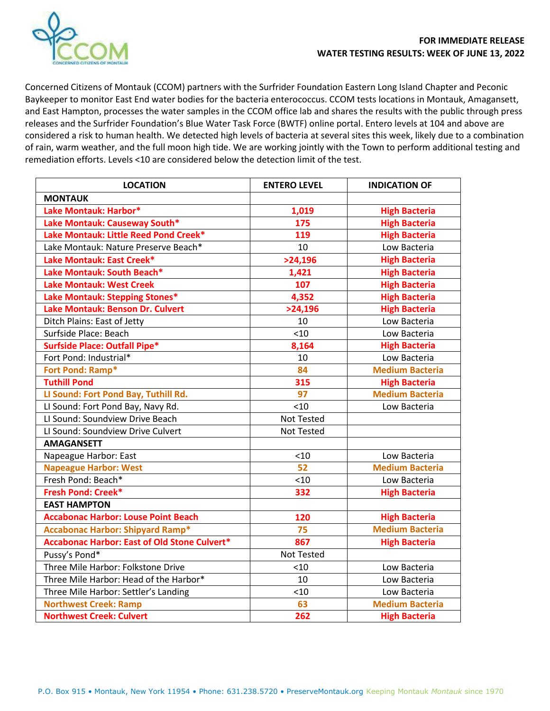

Concerned Citizens of Montauk (CCOM) partners with the Surfrider Foundation Eastern Long Island Chapter and Peconic Baykeeper to monitor East End water bodies for the bacteria enterococcus. CCOM tests locations in Montauk, Amagansett, and East Hampton, processes the water samples in the CCOM office lab and shares the results with the public through press releases and the Surfrider Foundation's Blue Water Task Force (BWTF) online portal. Entero levels at 104 and above are considered a risk to human health. We detected high levels of bacteria at several sites this week, likely due to a combination of rain, warm weather, and the full moon high tide. We are working jointly with the Town to perform additional testing and remediation efforts. Levels <10 are considered below the detection limit of the test.

| <b>LOCATION</b>                                     | <b>ENTERO LEVEL</b> | <b>INDICATION OF</b>   |
|-----------------------------------------------------|---------------------|------------------------|
| <b>MONTAUK</b>                                      |                     |                        |
| Lake Montauk: Harbor*                               | 1,019               | <b>High Bacteria</b>   |
| Lake Montauk: Causeway South*                       | 175                 | <b>High Bacteria</b>   |
| Lake Montauk: Little Reed Pond Creek*               | 119                 | <b>High Bacteria</b>   |
| Lake Montauk: Nature Preserve Beach*                | 10                  | Low Bacteria           |
| Lake Montauk: East Creek*                           | >24,196             | <b>High Bacteria</b>   |
| Lake Montauk: South Beach*                          | 1,421               | <b>High Bacteria</b>   |
| <b>Lake Montauk: West Creek</b>                     | 107                 | <b>High Bacteria</b>   |
| Lake Montauk: Stepping Stones*                      | 4,352               | <b>High Bacteria</b>   |
| Lake Montauk: Benson Dr. Culvert                    | >24,196             | <b>High Bacteria</b>   |
| Ditch Plains: East of Jetty                         | 10                  | Low Bacteria           |
| Surfside Place: Beach                               | < 10                | Low Bacteria           |
| <b>Surfside Place: Outfall Pipe*</b>                | 8,164               | <b>High Bacteria</b>   |
| Fort Pond: Industrial*                              | 10                  | Low Bacteria           |
| Fort Pond: Ramp*                                    | 84                  | <b>Medium Bacteria</b> |
| <b>Tuthill Pond</b>                                 | 315                 | <b>High Bacteria</b>   |
| LI Sound: Fort Pond Bay, Tuthill Rd.                | 97                  | <b>Medium Bacteria</b> |
| LI Sound: Fort Pond Bay, Navy Rd.                   | < 10                | Low Bacteria           |
| LI Sound: Soundview Drive Beach                     | Not Tested          |                        |
| LI Sound: Soundview Drive Culvert                   | <b>Not Tested</b>   |                        |
| <b>AMAGANSETT</b>                                   |                     |                        |
| Napeague Harbor: East                               | < 10                | Low Bacteria           |
| <b>Napeague Harbor: West</b>                        | 52                  | <b>Medium Bacteria</b> |
| Fresh Pond: Beach*                                  | <10                 | Low Bacteria           |
| <b>Fresh Pond: Creek*</b>                           | 332                 | <b>High Bacteria</b>   |
| <b>EAST HAMPTON</b>                                 |                     |                        |
| <b>Accabonac Harbor: Louse Point Beach</b>          | 120                 | <b>High Bacteria</b>   |
| <b>Accabonac Harbor: Shipyard Ramp*</b>             | 75                  | <b>Medium Bacteria</b> |
| <b>Accabonac Harbor: East of Old Stone Culvert*</b> | 867                 | <b>High Bacteria</b>   |
| Pussy's Pond*                                       | Not Tested          |                        |
| Three Mile Harbor: Folkstone Drive                  | < 10                | Low Bacteria           |
| Three Mile Harbor: Head of the Harbor*              | 10                  | Low Bacteria           |
| Three Mile Harbor: Settler's Landing                | < 10                | Low Bacteria           |
| <b>Northwest Creek: Ramp</b>                        | 63                  | <b>Medium Bacteria</b> |
| <b>Northwest Creek: Culvert</b>                     | 262                 | <b>High Bacteria</b>   |